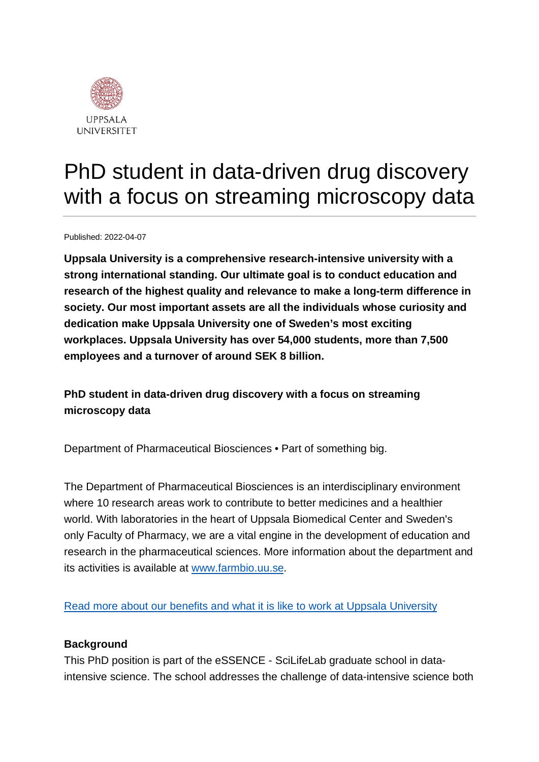

# PhD student in data-driven drug discovery with a focus on streaming microscopy data

Published: 2022-04-07

**Uppsala University is a comprehensive research-intensive university with a strong international standing. Our ultimate goal is to conduct education and research of the highest quality and relevance to make a long-term difference in society. Our most important assets are all the individuals whose curiosity and dedication make Uppsala University one of Sweden's most exciting workplaces. Uppsala University has over 54,000 students, more than 7,500 employees and a turnover of around SEK 8 billion.**

**PhD student in data-driven drug discovery with a focus on streaming microscopy data**

Department of Pharmaceutical Biosciences • Part of something big.

The Department of Pharmaceutical Biosciences is an interdisciplinary environment where 10 research areas work to contribute to better medicines and a healthier world. With laboratories in the heart of Uppsala Biomedical Center and Sweden's only Faculty of Pharmacy, we are a vital engine in the development of education and research in the pharmaceutical sciences. More information about the department and its activities is available at [www.farmbio.uu.se.](http://www.farmbio.uu.se/)

[Read more about our benefits and what it is like to work at Uppsala University](https://www.uu.se/en/about-uu/join-us/)

### **Background**

This PhD position is part of the eSSENCE - SciLifeLab graduate school in dataintensive science. The school addresses the challenge of data-intensive science both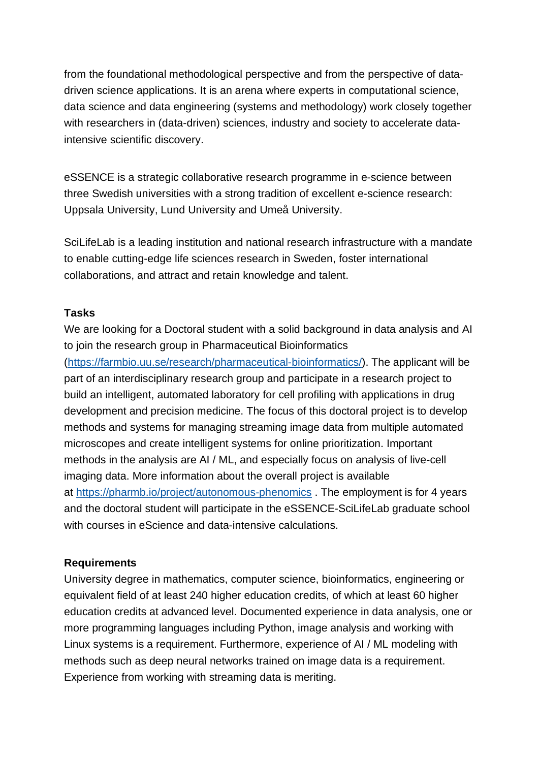from the foundational methodological perspective and from the perspective of datadriven science applications. It is an arena where experts in computational science, data science and data engineering (systems and methodology) work closely together with researchers in (data-driven) sciences, industry and society to accelerate dataintensive scientific discovery.

eSSENCE is a strategic collaborative research programme in e-science between three Swedish universities with a strong tradition of excellent e-science research: Uppsala University, Lund University and Umeå University.

SciLifeLab is a leading institution and national research infrastructure with a mandate to enable cutting-edge life sciences research in Sweden, foster international collaborations, and attract and retain knowledge and talent.

#### **Tasks**

We are looking for a Doctoral student with a solid background in data analysis and AI to join the research group in Pharmaceutical Bioinformatics

[\(https://farmbio.uu.se/research/pharmaceutical-bioinformatics/\)](https://farmbio.uu.se/research/pharmaceutical-bioinformatics/). The applicant will be part of an interdisciplinary research group and participate in a research project to build an intelligent, automated laboratory for cell profiling with applications in drug development and precision medicine. The focus of this doctoral project is to develop methods and systems for managing streaming image data from multiple automated microscopes and create intelligent systems for online prioritization. Important methods in the analysis are AI / ML, and especially focus on analysis of live-cell imaging data. More information about the overall project is available at <https://pharmb.io/project/autonomous-phenomics> . The employment is for 4 years and the doctoral student will participate in the eSSENCE-SciLifeLab graduate school with courses in eScience and data-intensive calculations.

### **Requirements**

University degree in mathematics, computer science, bioinformatics, engineering or equivalent field of at least 240 higher education credits, of which at least 60 higher education credits at advanced level. Documented experience in data analysis, one or more programming languages including Python, image analysis and working with Linux systems is a requirement. Furthermore, experience of AI / ML modeling with methods such as deep neural networks trained on image data is a requirement. Experience from working with streaming data is meriting.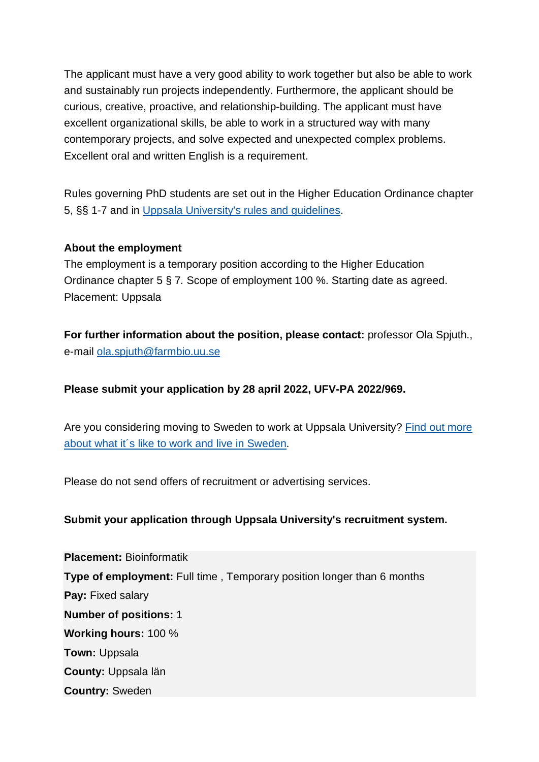The applicant must have a very good ability to work together but also be able to work and sustainably run projects independently. Furthermore, the applicant should be curious, creative, proactive, and relationship-building. The applicant must have excellent organizational skills, be able to work in a structured way with many contemporary projects, and solve expected and unexpected complex problems. Excellent oral and written English is a requirement.

Rules governing PhD students are set out in the Higher Education Ordinance chapter 5, §§ 1-7 and in [Uppsala University's rules and guidelines.](https://regler.uu.se/?languageId=1)

### **About the employment**

The employment is a temporary position according to the Higher Education Ordinance chapter 5 § 7*.* Scope of employment 100 %. Starting date as agreed. Placement: Uppsala

**For further information about the position, please contact:** professor Ola Spjuth., e-mail [ola.spjuth@farmbio.uu.se](https://uu.varbi.com/center/tool/position/491796/edit/tab:2/ola.spjuth@farmbio.uu.se)

## **Please submit your application by 28 april 2022, UFV-PA 2022/969.**

Are you considering moving to Sweden to work at Uppsala University? [Find out more](https://www.uu.se/en/about-uu/join-us/advantages/)  [about what it´s like to work and live in](https://www.uu.se/en/about-uu/join-us/advantages/) Sweden.

Please do not send offers of recruitment or advertising services.

## **Submit your application through Uppsala University's recruitment system.**

**Placement:** Bioinformatik **Type of employment:** Full time , Temporary position longer than 6 months **Pay:** Fixed salary **Number of positions:** 1 **Working hours:** 100 % **Town:** Uppsala **County:** Uppsala län **Country:** Sweden